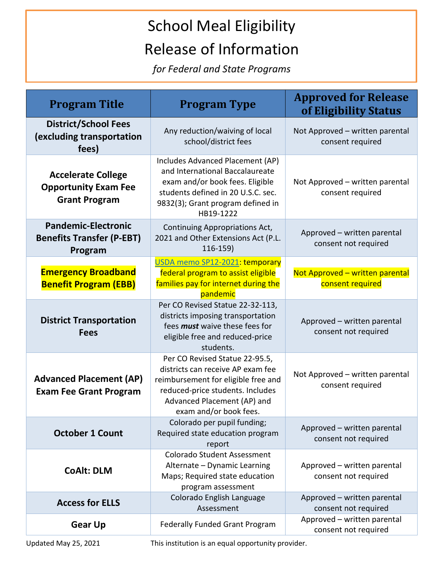## School Meal Eligibility Release of Information

*for Federal and State Programs*

| <b>Program Title</b>                                                             | <b>Program Type</b>                                                                                                                                                                                     | <b>Approved for Release</b><br>of Eligibility Status |
|----------------------------------------------------------------------------------|---------------------------------------------------------------------------------------------------------------------------------------------------------------------------------------------------------|------------------------------------------------------|
| <b>District/School Fees</b><br>(excluding transportation<br>fees)                | Any reduction/waiving of local<br>school/district fees                                                                                                                                                  | Not Approved - written parental<br>consent required  |
| <b>Accelerate College</b><br><b>Opportunity Exam Fee</b><br><b>Grant Program</b> | Includes Advanced Placement (AP)<br>and International Baccalaureate<br>exam and/or book fees. Eligible<br>students defined in 20 U.S.C. sec.<br>9832(3); Grant program defined in<br>HB19-1222          | Not Approved - written parental<br>consent required  |
| <b>Pandemic-Electronic</b><br><b>Benefits Transfer (P-EBT)</b><br>Program        | Continuing Appropriations Act,<br>2021 and Other Extensions Act (P.L.<br>116-159)                                                                                                                       | Approved - written parental<br>consent not required  |
| <b>Emergency Broadband</b><br><b>Benefit Program (EBB)</b>                       | USDA memo SP12-2021: temporary<br>federal program to assist eligible<br>families pay for internet during the<br>pandemic                                                                                | Not Approved - written parental<br>consent required  |
| <b>District Transportation</b><br><b>Fees</b>                                    | Per CO Revised Statue 22-32-113,<br>districts imposing transportation<br>fees <i>must</i> waive these fees for<br>eligible free and reduced-price<br>students.                                          | Approved - written parental<br>consent not required  |
| <b>Advanced Placement (AP)</b><br><b>Exam Fee Grant Program</b>                  | Per CO Revised Statue 22-95.5,<br>districts can receive AP exam fee<br>reimbursement for eligible free and<br>reduced-price students. Includes<br>Advanced Placement (AP) and<br>exam and/or book fees. | Not Approved - written parental<br>consent required  |
| <b>October 1 Count</b>                                                           | Colorado per pupil funding;<br>Required state education program<br>report                                                                                                                               | Approved - written parental<br>consent not required  |
| <b>CoAlt: DLM</b>                                                                | <b>Colorado Student Assessment</b><br>Alternate - Dynamic Learning<br>Maps; Required state education<br>program assessment                                                                              | Approved - written parental<br>consent not required  |
| <b>Access for ELLS</b>                                                           | Colorado English Language<br>Assessment                                                                                                                                                                 | Approved - written parental<br>consent not required  |
| <b>Gear Up</b>                                                                   | <b>Federally Funded Grant Program</b>                                                                                                                                                                   | Approved - written parental<br>consent not required  |

Updated May 25, 2021 This institution is an equal opportunity provider.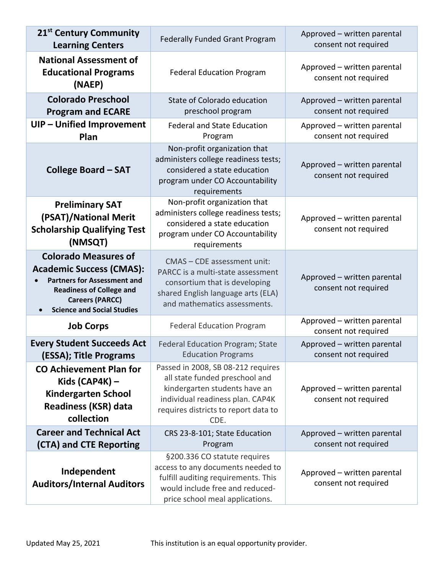| 21 <sup>st</sup> Century Community<br><b>Learning Centers</b>                                                                                                                                          | <b>Federally Funded Grant Program</b>                                                                                                                                                     | Approved - written parental<br>consent not required |
|--------------------------------------------------------------------------------------------------------------------------------------------------------------------------------------------------------|-------------------------------------------------------------------------------------------------------------------------------------------------------------------------------------------|-----------------------------------------------------|
| <b>National Assessment of</b><br><b>Educational Programs</b><br>(NAEP)                                                                                                                                 | <b>Federal Education Program</b>                                                                                                                                                          | Approved - written parental<br>consent not required |
| <b>Colorado Preschool</b><br><b>Program and ECARE</b>                                                                                                                                                  | State of Colorado education<br>preschool program                                                                                                                                          | Approved - written parental<br>consent not required |
| UIP - Unified Improvement<br>Plan                                                                                                                                                                      | <b>Federal and State Education</b><br>Program                                                                                                                                             | Approved - written parental<br>consent not required |
| <b>College Board - SAT</b>                                                                                                                                                                             | Non-profit organization that<br>administers college readiness tests;<br>considered a state education<br>program under CO Accountability<br>requirements                                   | Approved - written parental<br>consent not required |
| <b>Preliminary SAT</b><br>(PSAT)/National Merit<br><b>Scholarship Qualifying Test</b><br>(NMSQT)                                                                                                       | Non-profit organization that<br>administers college readiness tests;<br>considered a state education<br>program under CO Accountability<br>requirements                                   | Approved - written parental<br>consent not required |
| <b>Colorado Measures of</b><br><b>Academic Success (CMAS):</b><br><b>Partners for Assessment and</b><br><b>Readiness of College and</b><br><b>Careers (PARCC)</b><br><b>Science and Social Studies</b> | CMAS - CDE assessment unit:<br>PARCC is a multi-state assessment<br>consortium that is developing<br>shared English language arts (ELA)<br>and mathematics assessments.                   | Approved - written parental<br>consent not required |
| <b>Job Corps</b>                                                                                                                                                                                       | <b>Federal Education Program</b>                                                                                                                                                          | Approved - written parental<br>consent not required |
| <b>Every Student Succeeds Act</b><br>(ESSA); Title Programs                                                                                                                                            | Federal Education Program; State<br><b>Education Programs</b>                                                                                                                             | Approved - written parental<br>consent not required |
| <b>CO Achievement Plan for</b><br>Kids $(CAP4K)$ –<br><b>Kindergarten School</b><br><b>Readiness (KSR) data</b><br>collection                                                                          | Passed in 2008, SB 08-212 requires<br>all state funded preschool and<br>kindergarten students have an<br>individual readiness plan. CAP4K<br>requires districts to report data to<br>CDE. | Approved - written parental<br>consent not required |
| <b>Career and Technical Act</b><br>(CTA) and CTE Reporting                                                                                                                                             | CRS 23-8-101; State Education<br>Program                                                                                                                                                  | Approved - written parental<br>consent not required |
| Independent<br><b>Auditors/Internal Auditors</b>                                                                                                                                                       | §200.336 CO statute requires<br>access to any documents needed to<br>fulfill auditing requirements. This<br>would include free and reduced-<br>price school meal applications.            | Approved - written parental<br>consent not required |